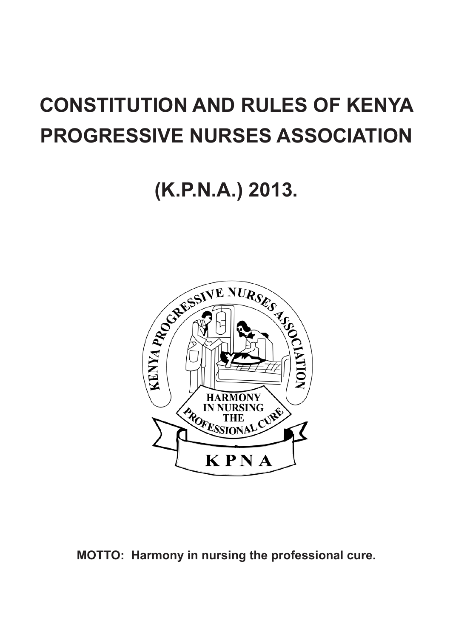# **CONSTITUTION AND RULES OF KENYA PROGRESSIVE NURSES ASSOCIATION**

# **(K.P.N.A.) 2013.**



**MOTTO: Harmony in nursing the professional cure.**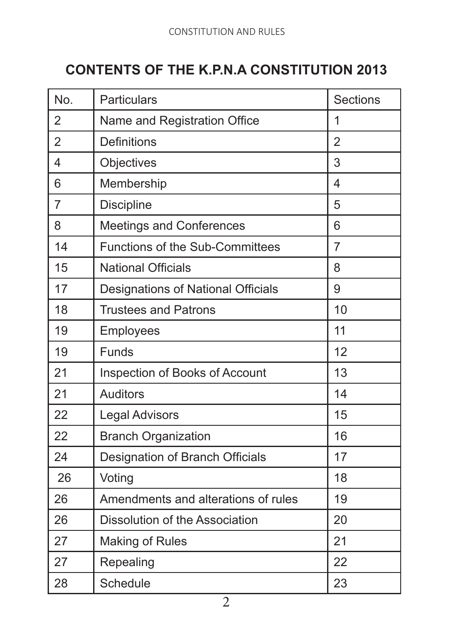# **CONTENTS OF THE K.P.N.A CONSTITUTION 2013**

| No.            | Particulars                         | <b>Sections</b> |
|----------------|-------------------------------------|-----------------|
| $\overline{2}$ | Name and Registration Office        | 1               |
| $\overline{2}$ | <b>Definitions</b>                  | $\mathfrak{p}$  |
| 4              | Objectives                          | 3               |
| 6              | Membership                          | 4               |
| 7              | Discipline                          | 5               |
| 8              | Meetings and Conferences            | 6               |
| 14             | Functions of the Sub-Committees     | 7               |
| 15             | <b>National Officials</b>           | 8               |
| 17             | Designations of National Officials  | 9               |
| 18             | <b>Trustees and Patrons</b>         | 10              |
| 19             | Employees                           | 11              |
| 19             | Funds                               | 12              |
| 21             | Inspection of Books of Account      | 13              |
| 21             | Auditors                            | 14              |
| 22             | Legal Advisors                      | 15              |
| 22             | <b>Branch Organization</b>          | 16              |
| 24             | Designation of Branch Officials     | 17              |
| 26             | Voting                              | 18              |
| 26             | Amendments and alterations of rules | 19              |
| 26             | Dissolution of the Association      | 20              |
| 27             | Making of Rules                     | 21              |
| 27             | Repealing                           | 22              |
| 28             | Schedule                            | 23              |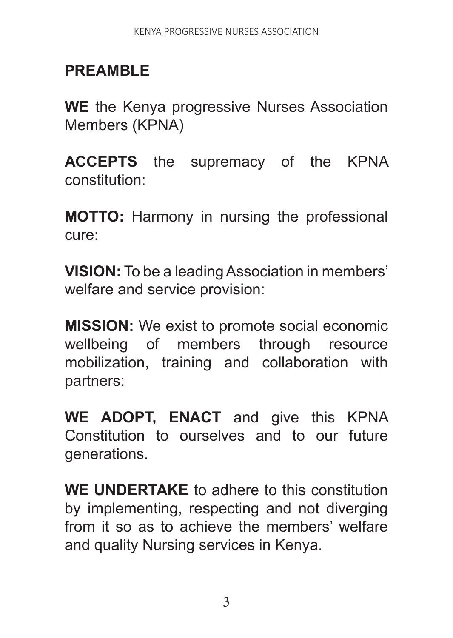# **PREAMBLE**

**WE** the Kenya progressive Nurses Association Members (KPNA)

**ACCEPTS** the supremacy of the KPNA constitution:

**MOTTO:** Harmony in nursing the professional cure:

**VISION:** To be a leading Association in members' welfare and service provision:

**MISSION:** We exist to promote social economic wellbeing of members through resource mobilization, training and collaboration with partners:

**WE ADOPT, ENACT** and give this KPNA Constitution to ourselves and to our future generations.

**WE UNDERTAKE** to adhere to this constitution by implementing, respecting and not diverging from it so as to achieve the members' welfare and quality Nursing services in Kenya.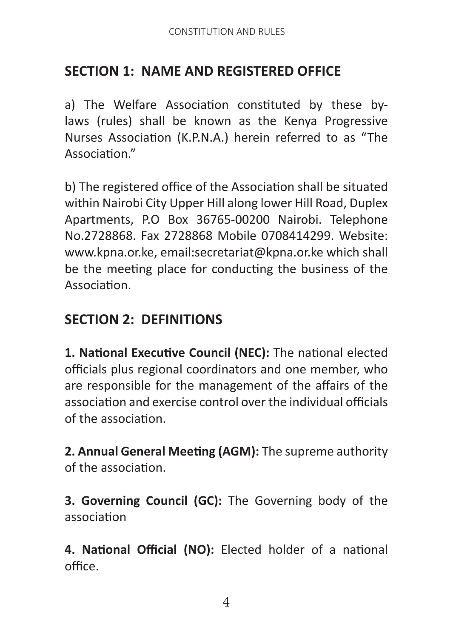# **SECTION 1: NAME AND REGISTERED OFFICE**

a) The Welfare Association constituted by these bylaws (rules) shall be known as the Kenya Progressive Nurses Association (K.P.N.A.) herein referred to as "The Association."

b) The registered office of the Association shall be situated within Nairobi City Upper Hill along lower Hill Road, Duplex Apartments, P.O Box 36765-00200 Nairobi. Telephone No.2728868. Fax 2728868 Mobile 0708414299. Website: www.kpna.or.ke, email:secretariat@kpna.or.ke which shall be the meeting place for conducting the business of the Association.

## **SECTION 2: DEFINITIONS**

**1. National Executive Council (NEC):** The national elected officials plus regional coordinators and one member, who are responsible for the management of the affairs of the association and exercise control over the individual officials of the association.

**2. Annual General Meeting (AGM):** The supreme authority of the association.

**3. Governing Council (GC):** The Governing body of the association

**4. National Official (NO):** Elected holder of a national office.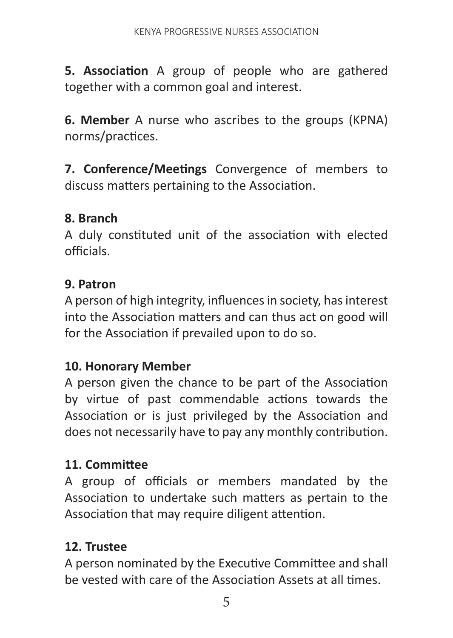**5. Association** A group of people who are gathered together with a common goal and interest.

**6. Member** A nurse who ascribes to the groups (KPNA) norms/practices.

**7. Conference/Meetings** Convergence of members to discuss matters pertaining to the Association.

#### **8. Branch**

A duly constituted unit of the association with elected officials.

#### **9. Patron**

A person of high integrity, influences in society, has interest into the Association matters and can thus act on good will for the Association if prevailed upon to do so.

#### **10. Honorary Member**

A person given the chance to be part of the Association by virtue of past commendable actions towards the Association or is just privileged by the Association and does not necessarily have to pay any monthly contribution.

#### **11. Committee**

A group of officials or members mandated by the Association to undertake such matters as pertain to the Association that may require diligent attention.

#### **12. Trustee**

A person nominated by the Executive Committee and shall be vested with care of the Association Assets at all times.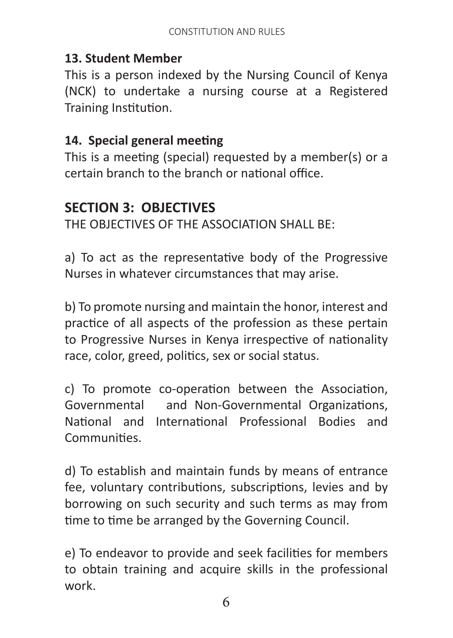#### **13. Student Member**

This is a person indexed by the Nursing Council of Kenya (NCK) to undertake a nursing course at a Registered Training Institution.

## **14. Special general meeting**

This is a meeting (special) requested by a member(s) or a certain branch to the branch or national office.

# **SECTION 3: OBJECTIVES**

THE OBJECTIVES OF THE ASSOCIATION SHALL BE:

a) To act as the representative body of the Progressive Nurses in whatever circumstances that may arise.

b) To promote nursing and maintain the honor, interest and practice of all aspects of the profession as these pertain to Progressive Nurses in Kenya irrespective of nationality race, color, greed, politics, sex or social status.

c) To promote co-operation between the Association, Governmental and Non-Governmental Organizations, National and International Professional Bodies and **Communities** 

d) To establish and maintain funds by means of entrance fee, voluntary contributions, subscriptions, levies and by borrowing on such security and such terms as may from time to time be arranged by the Governing Council.

e) To endeavor to provide and seek facilities for members to obtain training and acquire skills in the professional work.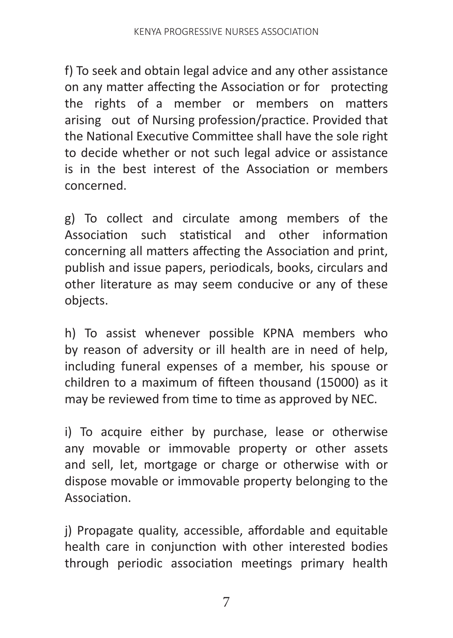f) To seek and obtain legal advice and any other assistance on any matter affecting the Association or for protecting the rights of a member or members on matters arising out of Nursing profession/practice. Provided that the National Executive Committee shall have the sole right to decide whether or not such legal advice or assistance is in the best interest of the Association or members concerned.

g) To collect and circulate among members of the Association such statistical and other information concerning all matters affecting the Association and print, publish and issue papers, periodicals, books, circulars and other literature as may seem conducive or any of these objects.

h) To assist whenever possible KPNA members who by reason of adversity or ill health are in need of help, including funeral expenses of a member, his spouse or children to a maximum of fifteen thousand (15000) as it may be reviewed from time to time as approved by NEC.

i) To acquire either by purchase, lease or otherwise any movable or immovable property or other assets and sell, let, mortgage or charge or otherwise with or dispose movable or immovable property belonging to the Association.

j) Propagate quality, accessible, affordable and equitable health care in conjunction with other interested bodies through periodic association meetings primary health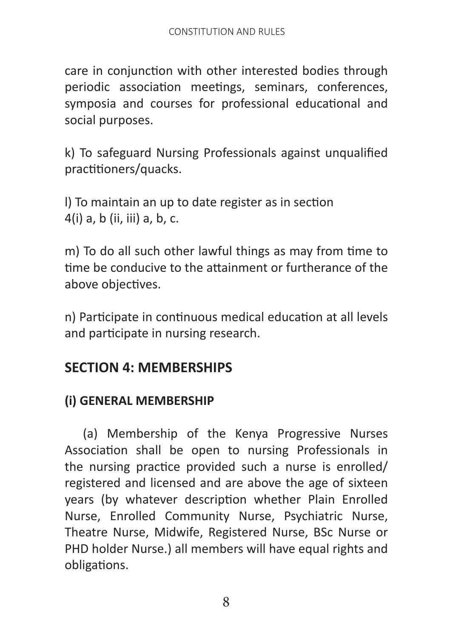care in conjunction with other interested bodies through periodic association meetings, seminars, conferences, symposia and courses for professional educational and social purposes.

k) To safeguard Nursing Professionals against unqualified practitioners/quacks.

l) To maintain an up to date register as in section 4(i) a, b (ii, iii) a, b, c.

m) To do all such other lawful things as may from time to time be conducive to the attainment or furtherance of the above objectives.

n) Participate in continuous medical education at all levels and participate in nursing research.

# **SECTION 4: MEMBERSHIPS**

#### **(i) GENERAL MEMBERSHIP**

 (a) Membership of the Kenya Progressive Nurses Association shall be open to nursing Professionals in the nursing practice provided such a nurse is enrolled/ registered and licensed and are above the age of sixteen years (by whatever description whether Plain Enrolled Nurse, Enrolled Community Nurse, Psychiatric Nurse, Theatre Nurse, Midwife, Registered Nurse, BSc Nurse or PHD holder Nurse.) all members will have equal rights and obligations.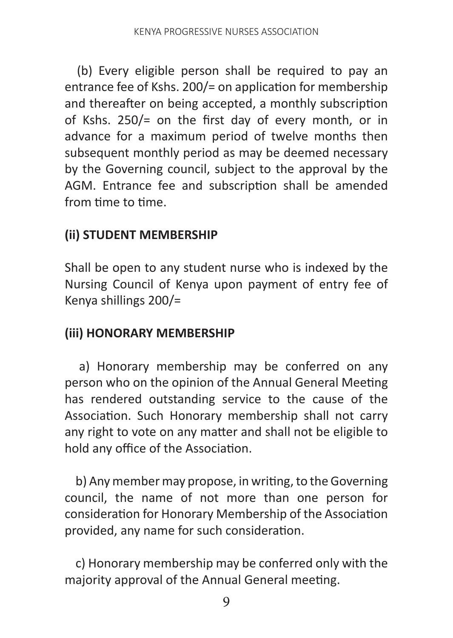(b) Every eligible person shall be required to pay an entrance fee of Kshs. 200/= on application for membership and thereafter on being accepted, a monthly subscription of Kshs. 250/= on the first day of every month, or in advance for a maximum period of twelve months then subsequent monthly period as may be deemed necessary by the Governing council, subject to the approval by the AGM. Entrance fee and subscription shall be amended from time to time.

## **(ii) STUDENT MEMBERSHIP**

Shall be open to any student nurse who is indexed by the Nursing Council of Kenya upon payment of entry fee of Kenya shillings 200/=

#### **(iii) HONORARY MEMBERSHIP**

 a) Honorary membership may be conferred on any person who on the opinion of the Annual General Meeting has rendered outstanding service to the cause of the Association. Such Honorary membership shall not carry any right to vote on any matter and shall not be eligible to hold any office of the Association.

 b) Any member may propose, in writing, to the Governing council, the name of not more than one person for consideration for Honorary Membership of the Association provided, any name for such consideration.

 c) Honorary membership may be conferred only with the majority approval of the Annual General meeting.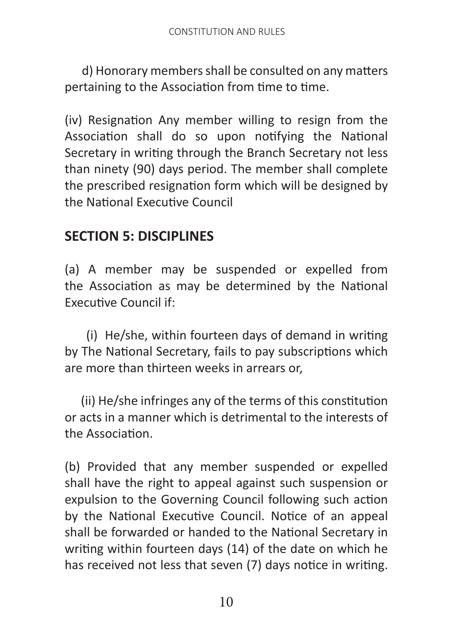d) Honorary members shall be consulted on any matters pertaining to the Association from time to time.

(iv) Resignation Any member willing to resign from the Association shall do so upon notifying the National Secretary in writing through the Branch Secretary not less than ninety (90) days period. The member shall complete the prescribed resignation form which will be designed by the National Executive Council

# **SECTION 5: DISCIPLINES**

(a) A member may be suspended or expelled from the Association as may be determined by the National Executive Council if:

 (i) He/she, within fourteen days of demand in writing by The National Secretary, fails to pay subscriptions which are more than thirteen weeks in arrears or,

 (ii) He/she infringes any of the terms of this constitution or acts in a manner which is detrimental to the interests of the Association.

(b) Provided that any member suspended or expelled shall have the right to appeal against such suspension or expulsion to the Governing Council following such action by the National Executive Council. Notice of an appeal shall be forwarded or handed to the National Secretary in writing within fourteen days (14) of the date on which he has received not less that seven (7) days notice in writing.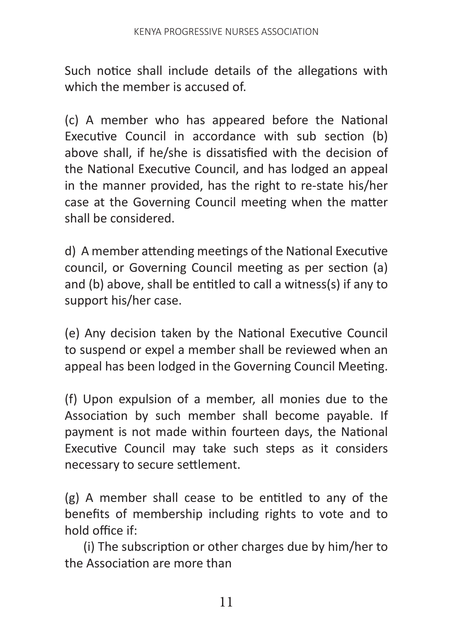Such notice shall include details of the allegations with which the member is accused of

(c) A member who has appeared before the National Executive Council in accordance with sub section (b) above shall, if he/she is dissatisfied with the decision of the National Executive Council, and has lodged an appeal in the manner provided, has the right to re-state his/her case at the Governing Council meeting when the matter shall be considered.

d) A member attending meetings of the National Executive council, or Governing Council meeting as per section (a) and (b) above, shall be entitled to call a witness(s) if any to support his/her case.

(e) Any decision taken by the National Executive Council to suspend or expel a member shall be reviewed when an appeal has been lodged in the Governing Council Meeting.

(f) Upon expulsion of a member, all monies due to the Association by such member shall become payable. If payment is not made within fourteen days, the National Executive Council may take such steps as it considers necessary to secure settlement.

(g) A member shall cease to be entitled to any of the benefits of membership including rights to vote and to hold office if:

 (i) The subscription or other charges due by him/her to the Association are more than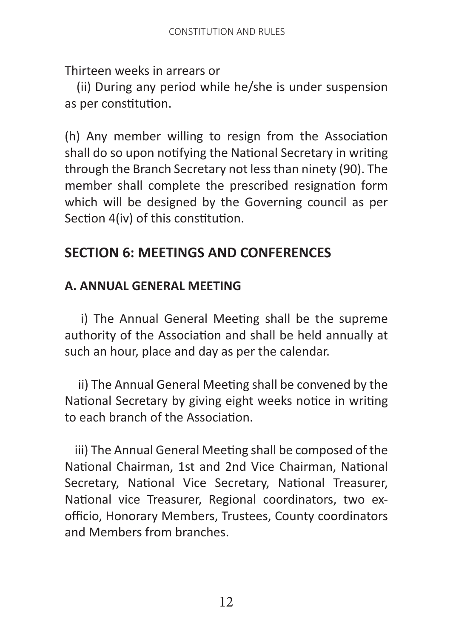Thirteen weeks in arrears or

 (ii) During any period while he/she is under suspension as per constitution.

(h) Any member willing to resign from the Association shall do so upon notifying the National Secretary in writing through the Branch Secretary not less than ninety (90). The member shall complete the prescribed resignation form which will be designed by the Governing council as per Section 4(iv) of this constitution.

# **SECTION 6: MEETINGS AND CONFERENCES**

#### **A. ANNUAL GENERAL MEETING**

 i) The Annual General Meeting shall be the supreme authority of the Association and shall be held annually at such an hour, place and day as per the calendar.

 ii) The Annual General Meeting shall be convened by the National Secretary by giving eight weeks notice in writing to each branch of the Association.

 iii) The Annual General Meeting shall be composed of the National Chairman, 1st and 2nd Vice Chairman, National Secretary, National Vice Secretary, National Treasurer, National vice Treasurer, Regional coordinators, two exofficio, Honorary Members, Trustees, County coordinators and Members from branches.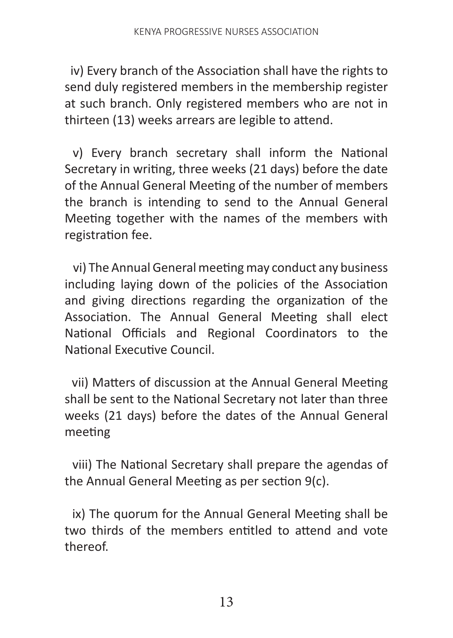iv) Every branch of the Association shall have the rights to send duly registered members in the membership register at such branch. Only registered members who are not in thirteen (13) weeks arrears are legible to attend.

 v) Every branch secretary shall inform the National Secretary in writing, three weeks (21 days) before the date of the Annual General Meeting of the number of members the branch is intending to send to the Annual General Meeting together with the names of the members with registration fee.

 vi) The Annual General meeting may conduct any business including laying down of the policies of the Association and giving directions regarding the organization of the Association. The Annual General Meeting shall elect National Officials and Regional Coordinators to the National Executive Council.

 vii) Matters of discussion at the Annual General Meeting shall be sent to the National Secretary not later than three weeks (21 days) before the dates of the Annual General meeting

 viii) The National Secretary shall prepare the agendas of the Annual General Meeting as per section 9(c).

 ix) The quorum for the Annual General Meeting shall be two thirds of the members entitled to attend and vote thereof.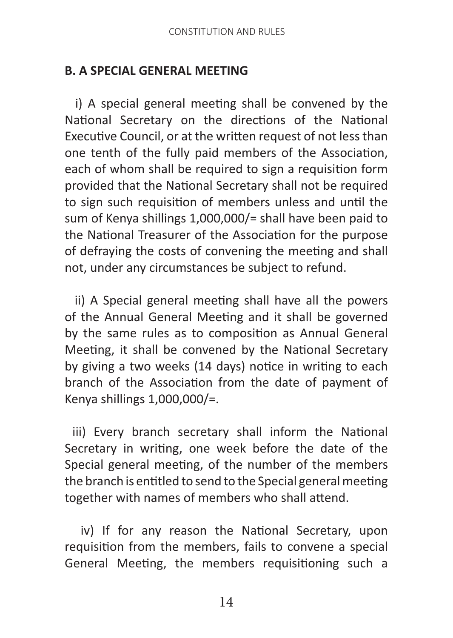#### **B. A SPECIAL GENERAL MEETING**

 i) A special general meeting shall be convened by the National Secretary on the directions of the National Executive Council, or at the written request of not less than one tenth of the fully paid members of the Association, each of whom shall be required to sign a requisition form provided that the National Secretary shall not be required to sign such requisition of members unless and until the sum of Kenya shillings 1,000,000/= shall have been paid to the National Treasurer of the Association for the purpose of defraying the costs of convening the meeting and shall not, under any circumstances be subject to refund.

 ii) A Special general meeting shall have all the powers of the Annual General Meeting and it shall be governed by the same rules as to composition as Annual General Meeting, it shall be convened by the National Secretary by giving a two weeks (14 days) notice in writing to each branch of the Association from the date of payment of Kenya shillings 1,000,000/=.

 iii) Every branch secretary shall inform the National Secretary in writing, one week before the date of the Special general meeting, of the number of the members the branch is entitled to send to the Special general meeting together with names of members who shall attend.

 iv) If for any reason the National Secretary, upon requisition from the members, fails to convene a special General Meeting, the members requisitioning such a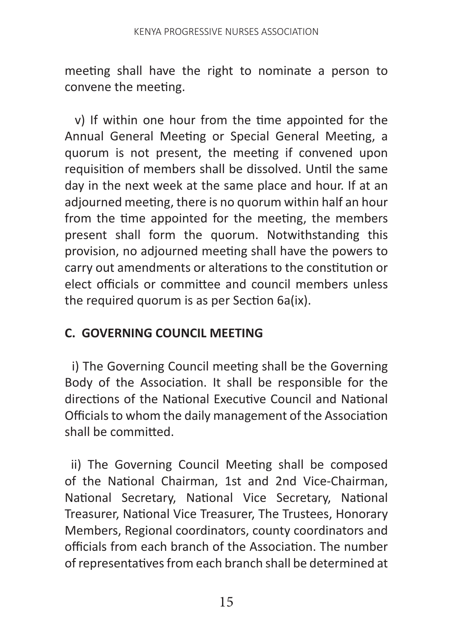meeting shall have the right to nominate a person to convene the meeting.

 v) If within one hour from the time appointed for the Annual General Meeting or Special General Meeting, a quorum is not present, the meeting if convened upon requisition of members shall be dissolved. Until the same day in the next week at the same place and hour. If at an adjourned meeting, there is no quorum within half an hour from the time appointed for the meeting, the members present shall form the quorum. Notwithstanding this provision, no adjourned meeting shall have the powers to carry out amendments or alterations to the constitution or elect officials or committee and council members unless the required quorum is as per Section 6a(ix).

#### **C. GOVERNING COUNCIL MEETING**

 i) The Governing Council meeting shall be the Governing Body of the Association. It shall be responsible for the directions of the National Executive Council and National Officials to whom the daily management of the Association shall be committed.

 ii) The Governing Council Meeting shall be composed of the National Chairman, 1st and 2nd Vice-Chairman, National Secretary, National Vice Secretary, National Treasurer, National Vice Treasurer, The Trustees, Honorary Members, Regional coordinators, county coordinators and officials from each branch of the Association. The number of representatives from each branch shall be determined at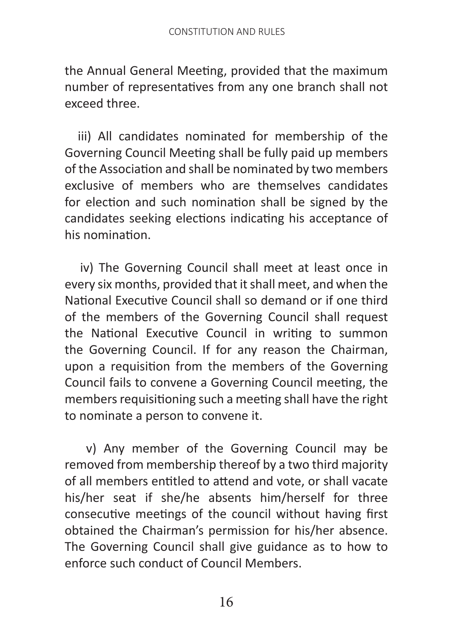the Annual General Meeting, provided that the maximum number of representatives from any one branch shall not exceed three.

 iii) All candidates nominated for membership of the Governing Council Meeting shall be fully paid up members of the Association and shall be nominated by two members exclusive of members who are themselves candidates for election and such nomination shall be signed by the candidates seeking elections indicating his acceptance of his nomination.

 iv) The Governing Council shall meet at least once in every six months, provided that it shall meet, and when the National Executive Council shall so demand or if one third of the members of the Governing Council shall request the National Executive Council in writing to summon the Governing Council. If for any reason the Chairman, upon a requisition from the members of the Governing Council fails to convene a Governing Council meeting, the members requisitioning such a meeting shall have the right to nominate a person to convene it.

 v) Any member of the Governing Council may be removed from membership thereof by a two third majority of all members entitled to attend and vote, or shall vacate his/her seat if she/he absents him/herself for three consecutive meetings of the council without having first obtained the Chairman's permission for his/her absence. The Governing Council shall give guidance as to how to enforce such conduct of Council Members.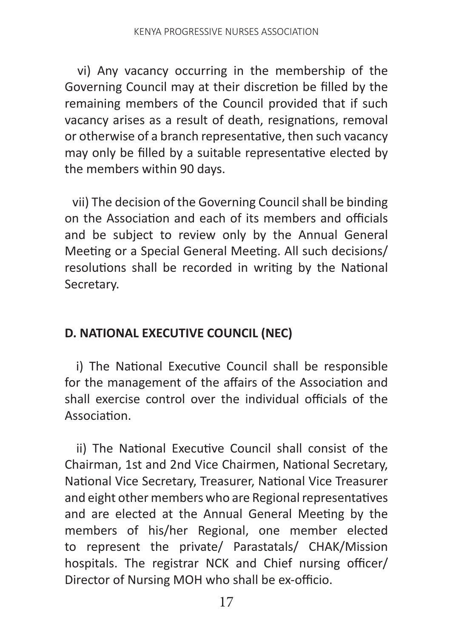vi) Any vacancy occurring in the membership of the Governing Council may at their discretion be filled by the remaining members of the Council provided that if such vacancy arises as a result of death, resignations, removal or otherwise of a branch representative, then such vacancy may only be filled by a suitable representative elected by the members within 90 days.

 vii) The decision of the Governing Council shall be binding on the Association and each of its members and officials and be subject to review only by the Annual General Meeting or a Special General Meeting. All such decisions/ resolutions shall be recorded in writing by the National Secretary.

## **D. NATIONAL EXECUTIVE COUNCIL (NEC)**

 i) The National Executive Council shall be responsible for the management of the affairs of the Association and shall exercise control over the individual officials of the Association.

 ii) The National Executive Council shall consist of the Chairman, 1st and 2nd Vice Chairmen, National Secretary, National Vice Secretary, Treasurer, National Vice Treasurer and eight other members who are Regional representatives and are elected at the Annual General Meeting by the members of his/her Regional, one member elected to represent the private/ Parastatals/ CHAK/Mission hospitals. The registrar NCK and Chief nursing officer/ Director of Nursing MOH who shall be ex-officio.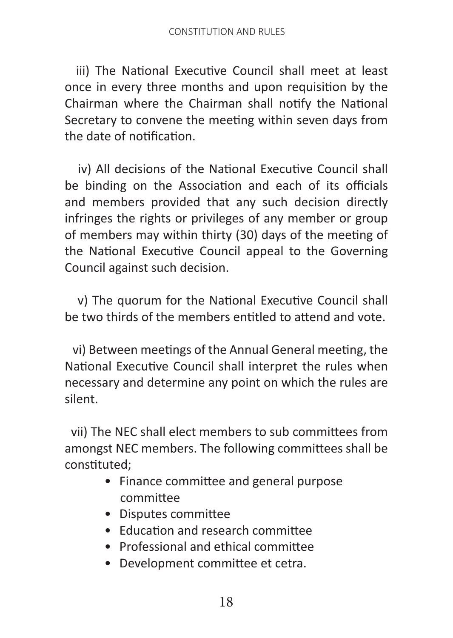iii) The National Executive Council shall meet at least once in every three months and upon requisition by the Chairman where the Chairman shall notify the National Secretary to convene the meeting within seven days from the date of notification.

 iv) All decisions of the National Executive Council shall be binding on the Association and each of its officials and members provided that any such decision directly infringes the rights or privileges of any member or group of members may within thirty (30) days of the meeting of the National Executive Council appeal to the Governing Council against such decision.

 v) The quorum for the National Executive Council shall be two thirds of the members entitled to attend and vote.

 vi) Between meetings of the Annual General meeting, the National Executive Council shall interpret the rules when necessary and determine any point on which the rules are silent.

 vii) The NEC shall elect members to sub committees from amongst NEC members. The following committees shall be constituted;

- Finance committee and general purpose committee
- Disputes committee
- Education and research committee
- Professional and ethical committee
- Development committee et cetra.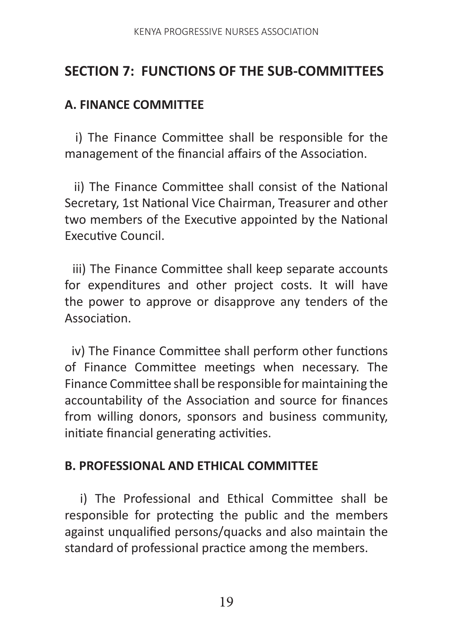## **SECTION 7: FUNCTIONS OF THE SUB-COMMITTEES**

#### **A. FINANCE COMMITTEE**

 i) The Finance Committee shall be responsible for the management of the financial affairs of the Association.

 ii) The Finance Committee shall consist of the National Secretary, 1st National Vice Chairman, Treasurer and other two members of the Executive appointed by the National Executive Council.

 iii) The Finance Committee shall keep separate accounts for expenditures and other project costs. It will have the power to approve or disapprove any tenders of the Association.

 iv) The Finance Committee shall perform other functions of Finance Committee meetings when necessary. The Finance Committee shall be responsible for maintaining the accountability of the Association and source for finances from willing donors, sponsors and business community, initiate financial generating activities.

#### **B. PROFESSIONAL AND ETHICAL COMMITTEE**

 i) The Professional and Ethical Committee shall be responsible for protecting the public and the members against unqualified persons/quacks and also maintain the standard of professional practice among the members.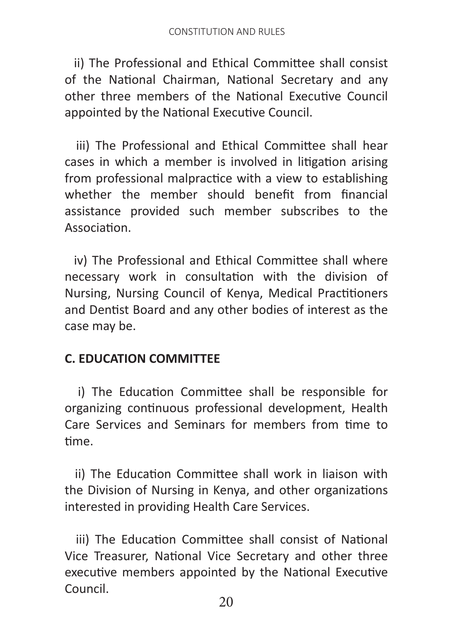ii) The Professional and Ethical Committee shall consist of the National Chairman, National Secretary and any other three members of the National Executive Council appointed by the National Executive Council.

 iii) The Professional and Ethical Committee shall hear cases in which a member is involved in litigation arising from professional malpractice with a view to establishing whether the member should benefit from financial assistance provided such member subscribes to the Association.

 iv) The Professional and Ethical Committee shall where necessary work in consultation with the division of Nursing, Nursing Council of Kenya, Medical Practitioners and Dentist Board and any other bodies of interest as the case may be.

#### **C. EDUCATION COMMITTEE**

 i) The Education Committee shall be responsible for organizing continuous professional development, Health Care Services and Seminars for members from time to time.

 ii) The Education Committee shall work in liaison with the Division of Nursing in Kenya, and other organizations interested in providing Health Care Services.

 iii) The Education Committee shall consist of National Vice Treasurer, National Vice Secretary and other three executive members appointed by the National Executive Council.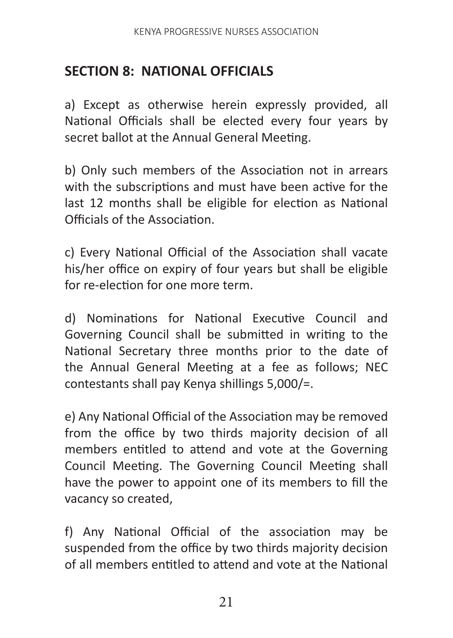## **SECTION 8: NATIONAL OFFICIALS**

a) Except as otherwise herein expressly provided, all National Officials shall be elected every four years by secret ballot at the Annual General Meeting.

b) Only such members of the Association not in arrears with the subscriptions and must have been active for the last 12 months shall be eligible for election as National Officials of the Association.

c) Every National Official of the Association shall vacate his/her office on expiry of four years but shall be eligible for re-election for one more term.

d) Nominations for National Executive Council and Governing Council shall be submitted in writing to the National Secretary three months prior to the date of the Annual General Meeting at a fee as follows; NEC contestants shall pay Kenya shillings 5,000/=.

e) Any National Official of the Association may be removed from the office by two thirds majority decision of all members entitled to attend and vote at the Governing Council Meeting. The Governing Council Meeting shall have the power to appoint one of its members to fill the vacancy so created,

f) Any National Official of the association may be suspended from the office by two thirds majority decision of all members entitled to attend and vote at the National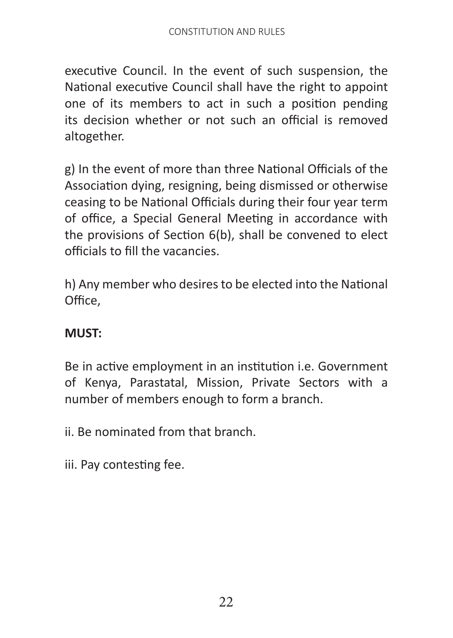executive Council. In the event of such suspension, the National executive Council shall have the right to appoint one of its members to act in such a position pending its decision whether or not such an official is removed altogether.

g) In the event of more than three National Officials of the Association dying, resigning, being dismissed or otherwise ceasing to be National Officials during their four year term of office, a Special General Meeting in accordance with the provisions of Section 6(b), shall be convened to elect officials to fill the vacancies.

h) Any member who desires to be elected into the National Office,

## **MUST:**

Be in active employment in an institution i.e. Government of Kenya, Parastatal, Mission, Private Sectors with a number of members enough to form a branch.

ii. Be nominated from that branch.

iii. Pay contesting fee.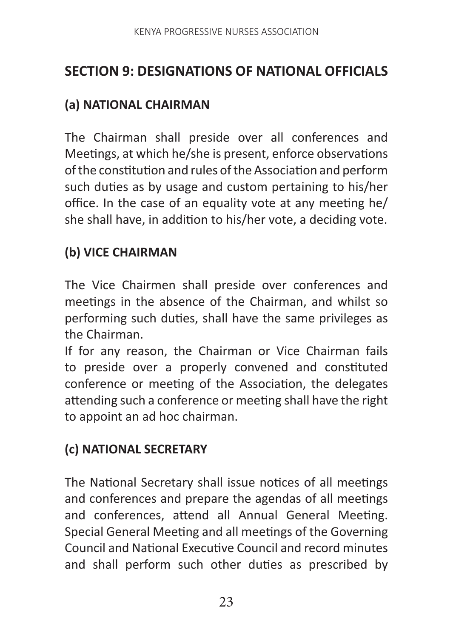# **SECTION 9: DESIGNATIONS OF NATIONAL OFFICIALS**

#### **(a) NATIONAL CHAIRMAN**

The Chairman shall preside over all conferences and Meetings, at which he/she is present, enforce observations of the constitution and rules of the Association and perform such duties as by usage and custom pertaining to his/her office. In the case of an equality vote at any meeting he/ she shall have, in addition to his/her vote, a deciding vote.

#### **(b) VICE CHAIRMAN**

The Vice Chairmen shall preside over conferences and meetings in the absence of the Chairman, and whilst so performing such duties, shall have the same privileges as the Chairman.

If for any reason, the Chairman or Vice Chairman fails to preside over a properly convened and constituted conference or meeting of the Association, the delegates attending such a conference or meeting shall have the right to appoint an ad hoc chairman.

## **(c) NATIONAL SECRETARY**

The National Secretary shall issue notices of all meetings and conferences and prepare the agendas of all meetings and conferences, attend all Annual General Meeting. Special General Meeting and all meetings of the Governing Council and National Executive Council and record minutes and shall perform such other duties as prescribed by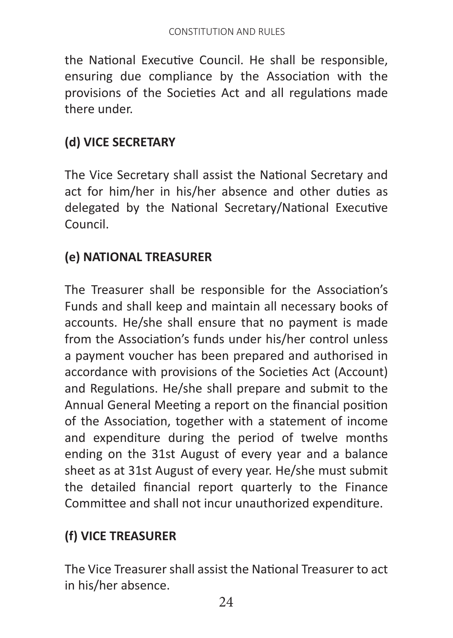the National Executive Council. He shall be responsible, ensuring due compliance by the Association with the provisions of the Societies Act and all regulations made there under.

## **(d) VICE SECRETARY**

The Vice Secretary shall assist the National Secretary and act for him/her in his/her absence and other duties as delegated by the National Secretary/National Executive Council.

## **(e) NATIONAL TREASURER**

The Treasurer shall be responsible for the Association's Funds and shall keep and maintain all necessary books of accounts. He/she shall ensure that no payment is made from the Association's funds under his/her control unless a payment voucher has been prepared and authorised in accordance with provisions of the Societies Act (Account) and Regulations. He/she shall prepare and submit to the Annual General Meeting a report on the financial position of the Association, together with a statement of income and expenditure during the period of twelve months ending on the 31st August of every year and a balance sheet as at 31st August of every year. He/she must submit the detailed financial report quarterly to the Finance Committee and shall not incur unauthorized expenditure.

## **(f) VICE TREASURER**

The Vice Treasurer shall assist the National Treasurer to act in his/her absence.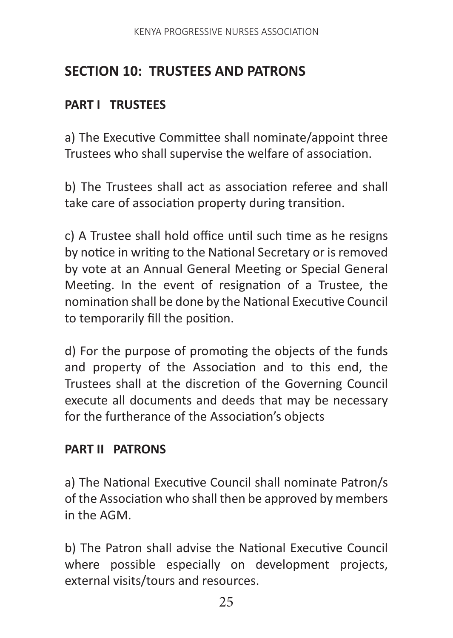# **SECTION 10: TRUSTEES AND PATRONS**

#### **PART I TRUSTEES**

a) The Executive Committee shall nominate/appoint three Trustees who shall supervise the welfare of association.

b) The Trustees shall act as association referee and shall take care of association property during transition.

c) A Trustee shall hold office until such time as he resigns by notice in writing to the National Secretary or is removed by vote at an Annual General Meeting or Special General Meeting. In the event of resignation of a Trustee, the nomination shall be done by the National Executive Council to temporarily fill the position.

d) For the purpose of promoting the objects of the funds and property of the Association and to this end, the Trustees shall at the discretion of the Governing Council execute all documents and deeds that may be necessary for the furtherance of the Association's objects

#### **PART II PATRONS**

a) The National Executive Council shall nominate Patron/s of the Association who shall then be approved by members in the AGM.

b) The Patron shall advise the National Executive Council where possible especially on development projects, external visits/tours and resources.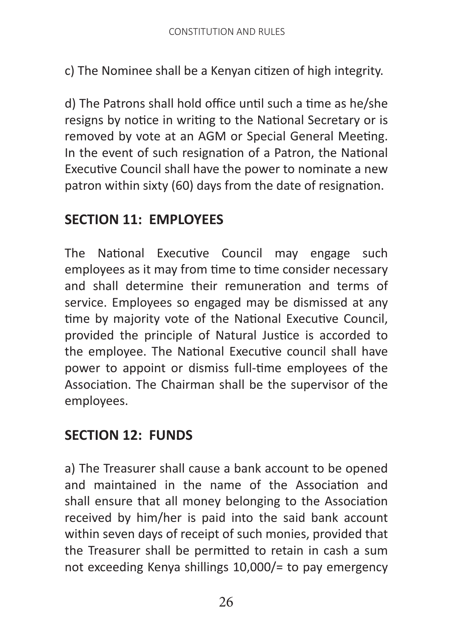c) The Nominee shall be a Kenyan citizen of high integrity.

d) The Patrons shall hold office until such a time as he/she resigns by notice in writing to the National Secretary or is removed by vote at an AGM or Special General Meeting. In the event of such resignation of a Patron, the National Executive Council shall have the power to nominate a new patron within sixty (60) days from the date of resignation.

## **SECTION 11: EMPLOYEES**

The National Executive Council may engage such employees as it may from time to time consider necessary and shall determine their remuneration and terms of service. Employees so engaged may be dismissed at any time by majority vote of the National Executive Council, provided the principle of Natural Justice is accorded to the employee. The National Executive council shall have power to appoint or dismiss full-time employees of the Association. The Chairman shall be the supervisor of the employees.

## **SECTION 12: FUNDS**

a) The Treasurer shall cause a bank account to be opened and maintained in the name of the Association and shall ensure that all money belonging to the Association received by him/her is paid into the said bank account within seven days of receipt of such monies, provided that the Treasurer shall be permitted to retain in cash a sum not exceeding Kenya shillings 10,000/= to pay emergency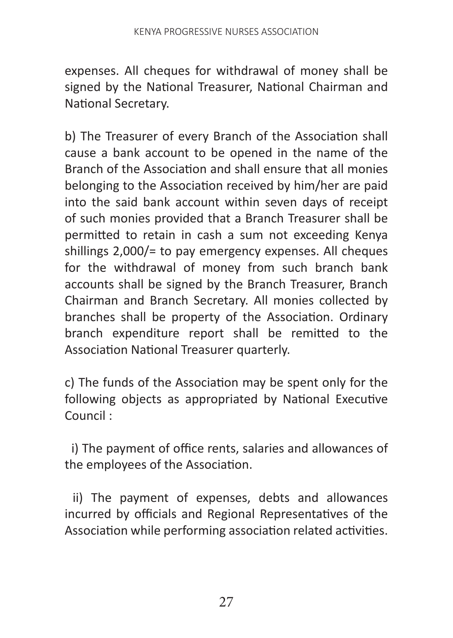expenses. All cheques for withdrawal of money shall be signed by the National Treasurer, National Chairman and National Secretary.

b) The Treasurer of every Branch of the Association shall cause a bank account to be opened in the name of the Branch of the Association and shall ensure that all monies belonging to the Association received by him/her are paid into the said bank account within seven days of receipt of such monies provided that a Branch Treasurer shall be permitted to retain in cash a sum not exceeding Kenya shillings 2,000/= to pay emergency expenses. All cheques for the withdrawal of money from such branch bank accounts shall be signed by the Branch Treasurer, Branch Chairman and Branch Secretary. All monies collected by branches shall be property of the Association. Ordinary branch expenditure report shall be remitted to the Association National Treasurer quarterly.

c) The funds of the Association may be spent only for the following objects as appropriated by National Executive Council :

 i) The payment of office rents, salaries and allowances of the employees of the Association.

 ii) The payment of expenses, debts and allowances incurred by officials and Regional Representatives of the Association while performing association related activities.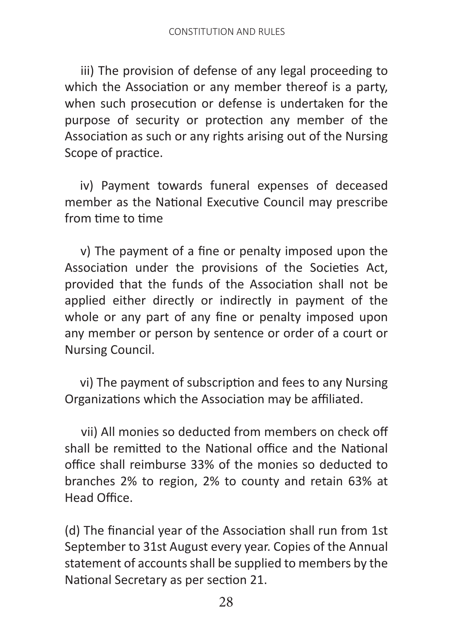iii) The provision of defense of any legal proceeding to which the Association or any member thereof is a party, when such prosecution or defense is undertaken for the purpose of security or protection any member of the Association as such or any rights arising out of the Nursing Scope of practice.

 iv) Payment towards funeral expenses of deceased member as the National Executive Council may prescribe from time to time

 v) The payment of a fine or penalty imposed upon the Association under the provisions of the Societies Act, provided that the funds of the Association shall not be applied either directly or indirectly in payment of the whole or any part of any fine or penalty imposed upon any member or person by sentence or order of a court or Nursing Council.

 vi) The payment of subscription and fees to any Nursing Organizations which the Association may be affiliated.

 vii) All monies so deducted from members on check off shall be remitted to the National office and the National office shall reimburse 33% of the monies so deducted to branches 2% to region, 2% to county and retain 63% at Head Office.

(d) The financial year of the Association shall run from 1st September to 31st August every year. Copies of the Annual statement of accounts shall be supplied to members by the National Secretary as per section 21.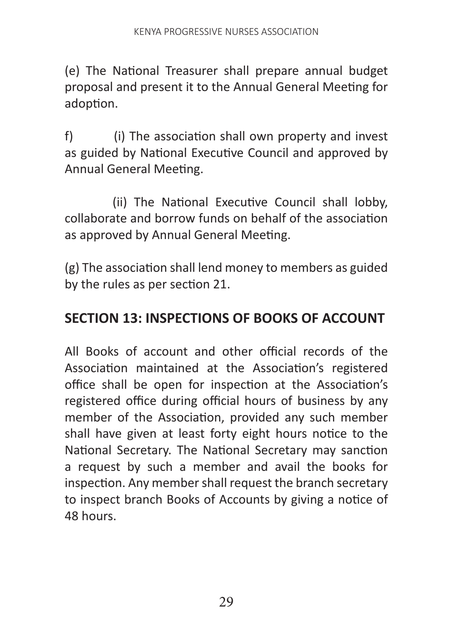(e) The National Treasurer shall prepare annual budget proposal and present it to the Annual General Meeting for adoption.

f) (i) The association shall own property and invest as guided by National Executive Council and approved by Annual General Meeting.

 (ii) The National Executive Council shall lobby, collaborate and borrow funds on behalf of the association as approved by Annual General Meeting.

(g) The association shall lend money to members as guided by the rules as per section 21.

## **SECTION 13: INSPECTIONS OF BOOKS OF ACCOUNT**

All Books of account and other official records of the Association maintained at the Association's registered office shall be open for inspection at the Association's registered office during official hours of business by any member of the Association, provided any such member shall have given at least forty eight hours notice to the National Secretary. The National Secretary may sanction a request by such a member and avail the books for inspection. Any member shall request the branch secretary to inspect branch Books of Accounts by giving a notice of 48 hours.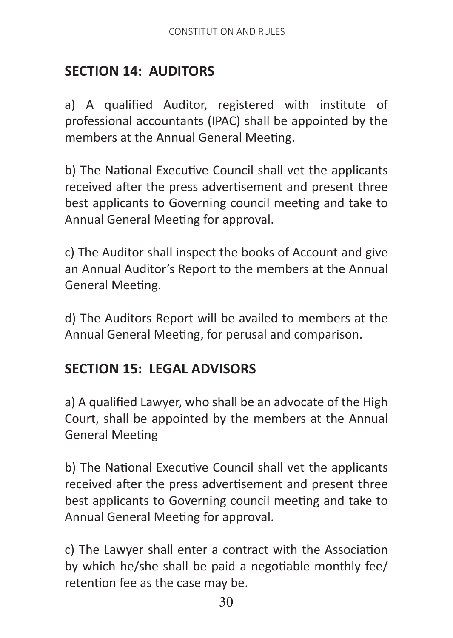# **SECTION 14: AUDITORS**

a) A qualified Auditor, registered with institute of professional accountants (IPAC) shall be appointed by the members at the Annual General Meeting.

b) The National Executive Council shall vet the applicants received after the press advertisement and present three best applicants to Governing council meeting and take to Annual General Meeting for approval.

c) The Auditor shall inspect the books of Account and give an Annual Auditor's Report to the members at the Annual General Meeting.

d) The Auditors Report will be availed to members at the Annual General Meeting, for perusal and comparison.

## **SECTION 15: LEGAL ADVISORS**

a) A qualified Lawyer, who shall be an advocate of the High Court, shall be appointed by the members at the Annual General Meeting

b) The National Executive Council shall vet the applicants received after the press advertisement and present three best applicants to Governing council meeting and take to Annual General Meeting for approval.

c) The Lawyer shall enter a contract with the Association by which he/she shall be paid a negotiable monthly fee/ retention fee as the case may be.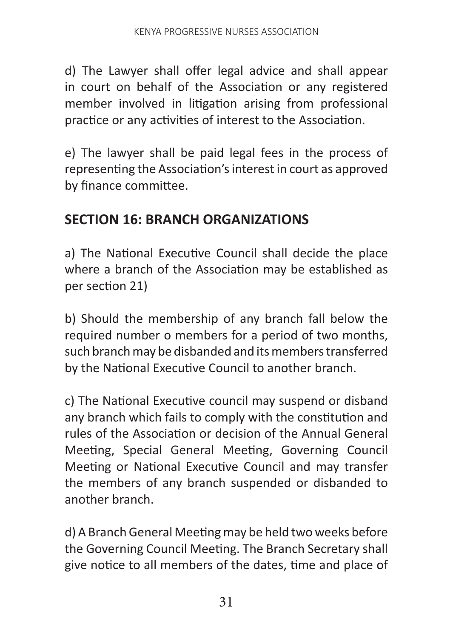d) The Lawyer shall offer legal advice and shall appear in court on behalf of the Association or any registered member involved in litigation arising from professional practice or any activities of interest to the Association.

e) The lawyer shall be paid legal fees in the process of representing the Association's interest in court as approved by finance committee.

## **SECTION 16: BRANCH ORGANIZATIONS**

a) The National Executive Council shall decide the place where a branch of the Association may be established as per section 21)

b) Should the membership of any branch fall below the required number o members for a period of two months, such branch may be disbanded and its members transferred by the National Executive Council to another branch.

c) The National Executive council may suspend or disband any branch which fails to comply with the constitution and rules of the Association or decision of the Annual General Meeting, Special General Meeting, Governing Council Meeting or National Executive Council and may transfer the members of any branch suspended or disbanded to another branch.

d) A Branch General Meeting may be held two weeks before the Governing Council Meeting. The Branch Secretary shall give notice to all members of the dates, time and place of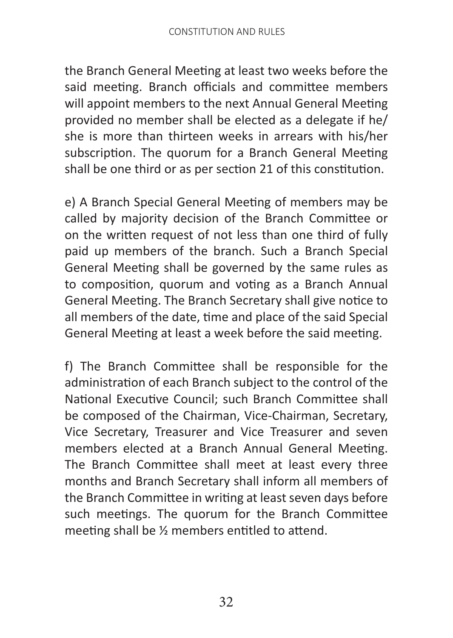the Branch General Meeting at least two weeks before the said meeting. Branch officials and committee members will appoint members to the next Annual General Meeting provided no member shall be elected as a delegate if he/ she is more than thirteen weeks in arrears with his/her subscription. The quorum for a Branch General Meeting shall be one third or as per section 21 of this constitution.

e) A Branch Special General Meeting of members may be called by majority decision of the Branch Committee or on the written request of not less than one third of fully paid up members of the branch. Such a Branch Special General Meeting shall be governed by the same rules as to composition, quorum and voting as a Branch Annual General Meeting. The Branch Secretary shall give notice to all members of the date, time and place of the said Special General Meeting at least a week before the said meeting.

f) The Branch Committee shall be responsible for the administration of each Branch subject to the control of the National Executive Council; such Branch Committee shall be composed of the Chairman, Vice-Chairman, Secretary, Vice Secretary, Treasurer and Vice Treasurer and seven members elected at a Branch Annual General Meeting. The Branch Committee shall meet at least every three months and Branch Secretary shall inform all members of the Branch Committee in writing at least seven days before such meetings. The quorum for the Branch Committee meeting shall be ½ members entitled to attend.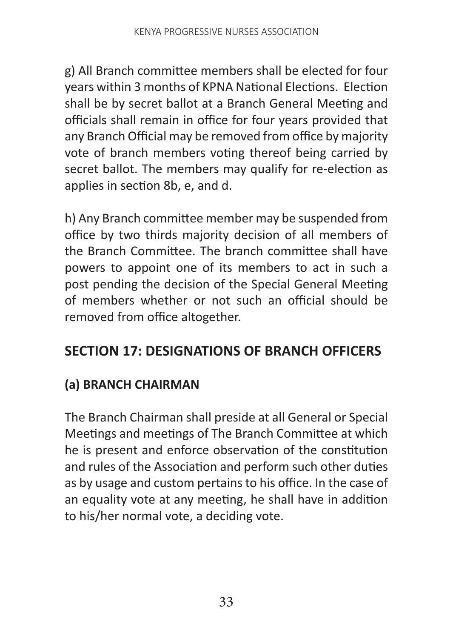g) All Branch committee members shall be elected for four years within 3 months of KPNA National Elections. Election shall be by secret ballot at a Branch General Meeting and officials shall remain in office for four years provided that any Branch Official may be removed from office by majority vote of branch members voting thereof being carried by secret ballot. The members may qualify for re-election as applies in section 8b, e, and d.

h) Any Branch committee member may be suspended from office by two thirds majority decision of all members of the Branch Committee. The branch committee shall have powers to appoint one of its members to act in such a post pending the decision of the Special General Meeting of members whether or not such an official should be removed from office altogether.

# **SECTION 17: DESIGNATIONS OF BRANCH OFFICERS**

## **(a) BRANCH CHAIRMAN**

The Branch Chairman shall preside at all General or Special Meetings and meetings of The Branch Committee at which he is present and enforce observation of the constitution and rules of the Association and perform such other duties as by usage and custom pertains to his office. In the case of an equality vote at any meeting, he shall have in addition to his/her normal vote, a deciding vote.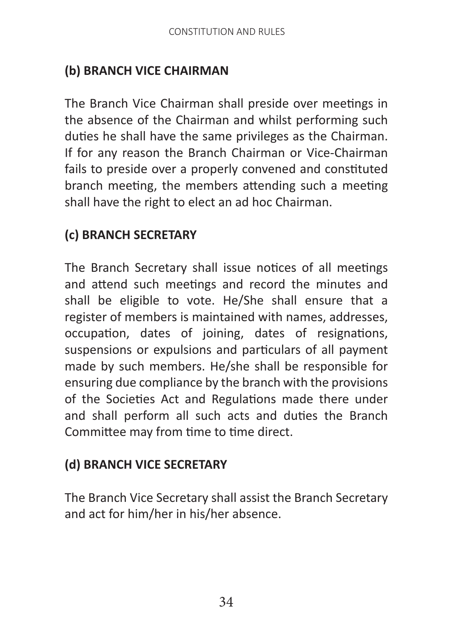## **(b) BRANCH VICE CHAIRMAN**

The Branch Vice Chairman shall preside over meetings in the absence of the Chairman and whilst performing such duties he shall have the same privileges as the Chairman. If for any reason the Branch Chairman or Vice-Chairman fails to preside over a properly convened and constituted branch meeting, the members attending such a meeting shall have the right to elect an ad hoc Chairman.

## **(c) BRANCH SECRETARY**

The Branch Secretary shall issue notices of all meetings and attend such meetings and record the minutes and shall be eligible to vote. He/She shall ensure that a register of members is maintained with names, addresses, occupation, dates of joining, dates of resignations, suspensions or expulsions and particulars of all payment made by such members. He/she shall be responsible for ensuring due compliance by the branch with the provisions of the Societies Act and Regulations made there under and shall perform all such acts and duties the Branch Committee may from time to time direct.

#### **(d) BRANCH VICE SECRETARY**

The Branch Vice Secretary shall assist the Branch Secretary and act for him/her in his/her absence.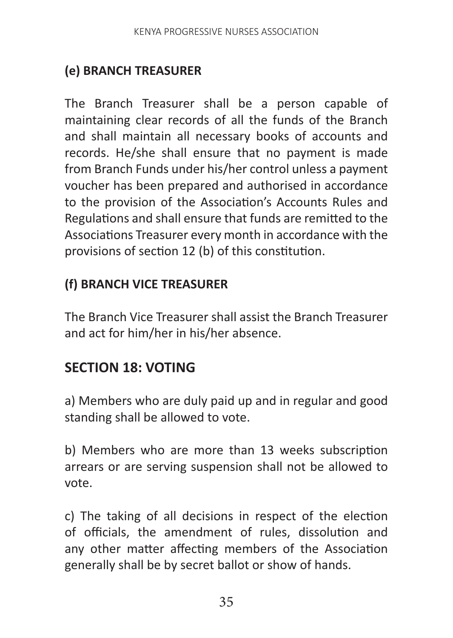# **(e) BRANCH TREASURER**

The Branch Treasurer shall be a person capable of maintaining clear records of all the funds of the Branch and shall maintain all necessary books of accounts and records. He/she shall ensure that no payment is made from Branch Funds under his/her control unless a payment voucher has been prepared and authorised in accordance to the provision of the Association's Accounts Rules and Regulations and shall ensure that funds are remitted to the Associations Treasurer every month in accordance with the provisions of section 12 (b) of this constitution.

#### **(f) BRANCH VICE TREASURER**

The Branch Vice Treasurer shall assist the Branch Treasurer and act for him/her in his/her absence.

# **SECTION 18: VOTING**

a) Members who are duly paid up and in regular and good standing shall be allowed to vote.

b) Members who are more than 13 weeks subscription arrears or are serving suspension shall not be allowed to vote.

c) The taking of all decisions in respect of the election of officials, the amendment of rules, dissolution and any other matter affecting members of the Association generally shall be by secret ballot or show of hands.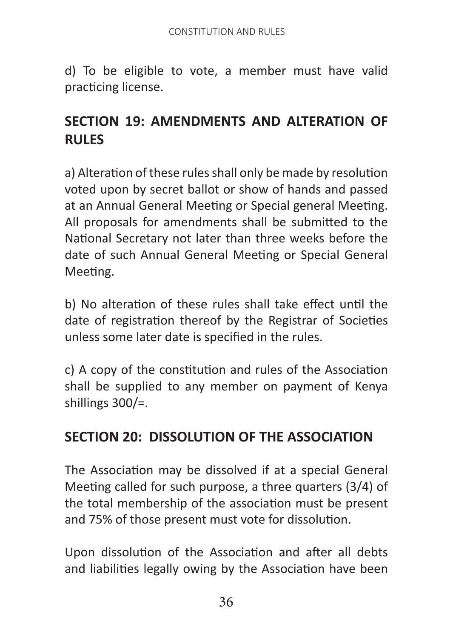d) To be eligible to vote, a member must have valid practicing license.

# **SECTION 19: AMENDMENTS AND ALTERATION OF RULES**

a) Alteration of these rules shall only be made by resolution voted upon by secret ballot or show of hands and passed at an Annual General Meeting or Special general Meeting. All proposals for amendments shall be submitted to the National Secretary not later than three weeks before the date of such Annual General Meeting or Special General Meeting.

b) No alteration of these rules shall take effect until the date of registration thereof by the Registrar of Societies unless some later date is specified in the rules.

c) A copy of the constitution and rules of the Association shall be supplied to any member on payment of Kenya shillings 300/=.

# **SECTION 20: DISSOLUTION OF THE ASSOCIATION**

The Association may be dissolved if at a special General Meeting called for such purpose, a three quarters (3/4) of the total membership of the association must be present and 75% of those present must vote for dissolution.

Upon dissolution of the Association and after all debts and liabilities legally owing by the Association have been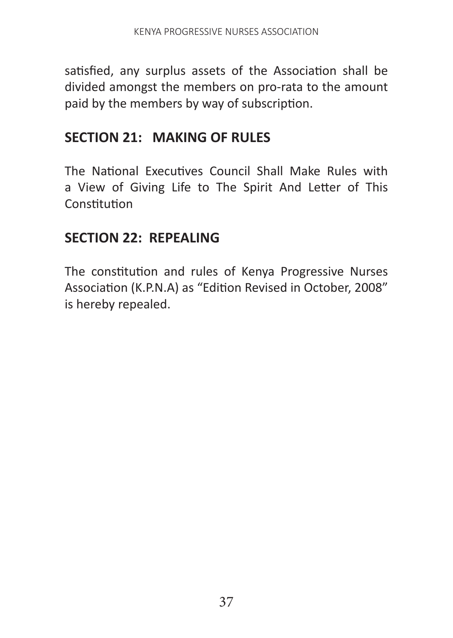satisfied, any surplus assets of the Association shall be divided amongst the members on pro-rata to the amount paid by the members by way of subscription.

## **SECTION 21: MAKING OF RULES**

The National Executives Council Shall Make Rules with a View of Giving Life to The Spirit And Letter of This **Constitution** 

## **SECTION 22: REPEALING**

The constitution and rules of Kenya Progressive Nurses Association (K.P.N.A) as "Edition Revised in October, 2008" is hereby repealed.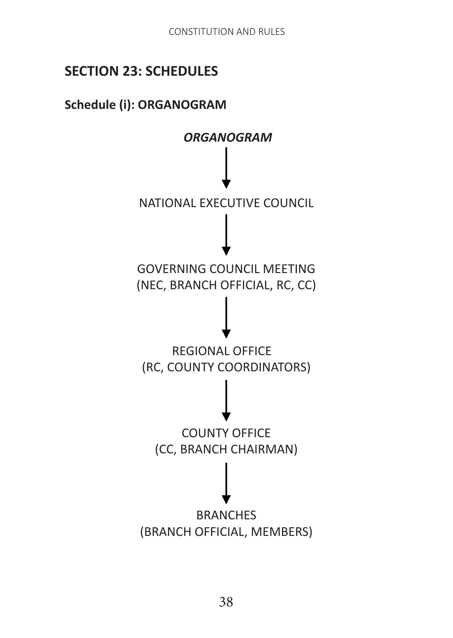# **SECTION 23: SCHEDULES**

#### **Schedule (i): ORGANOGRAM**